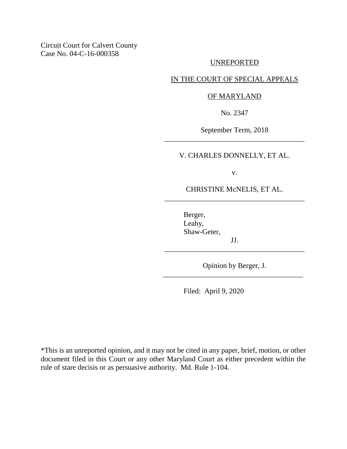Circuit Court for Calvert County Case No. 04-C-16-000358

### UNREPORTED

# IN THE COURT OF SPECIAL APPEALS

#### OF MARYLAND

No. 2347

September Term, 2018 \_\_\_\_\_\_\_\_\_\_\_\_\_\_\_\_\_\_\_\_\_\_\_\_\_\_\_\_\_\_\_\_\_\_\_\_\_\_

V. CHARLES DONNELLY, ET AL.

v.

CHRISTINE McNELIS, ET AL. \_\_\_\_\_\_\_\_\_\_\_\_\_\_\_\_\_\_\_\_\_\_\_\_\_\_\_\_\_\_\_\_\_\_\_\_\_\_

> Berger, Leahy, Shaw-Geter,

Opinion by Berger, J. \_\_\_\_\_\_\_\_\_\_\_\_\_\_\_\_\_\_\_\_\_\_\_\_\_\_\_\_\_\_\_\_\_\_\_\_\_\_

JJ. \_\_\_\_\_\_\_\_\_\_\_\_\_\_\_\_\_\_\_\_\_\_\_\_\_\_\_\_\_\_\_\_\_\_\_\_\_\_

Filed: April 9, 2020

\*This is an unreported opinion, and it may not be cited in any paper, brief, motion, or other document filed in this Court or any other Maryland Court as either precedent within the rule of stare decisis or as persuasive authority. Md. Rule 1-104.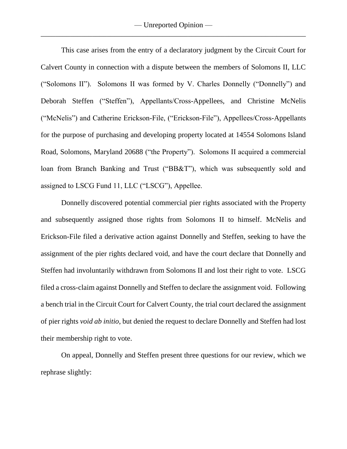This case arises from the entry of a declaratory judgment by the Circuit Court for Calvert County in connection with a dispute between the members of Solomons II, LLC ("Solomons II"). Solomons II was formed by V. Charles Donnelly ("Donnelly") and Deborah Steffen ("Steffen"), Appellants/Cross-Appellees, and Christine McNelis ("McNelis") and Catherine Erickson-File, ("Erickson-File"), Appellees/Cross-Appellants for the purpose of purchasing and developing property located at 14554 Solomons Island Road, Solomons, Maryland 20688 ("the Property"). Solomons II acquired a commercial loan from Branch Banking and Trust ("BB&T"), which was subsequently sold and assigned to LSCG Fund 11, LLC ("LSCG"), Appellee.

Donnelly discovered potential commercial pier rights associated with the Property and subsequently assigned those rights from Solomons II to himself. McNelis and Erickson-File filed a derivative action against Donnelly and Steffen, seeking to have the assignment of the pier rights declared void, and have the court declare that Donnelly and Steffen had involuntarily withdrawn from Solomons II and lost their right to vote. LSCG filed a cross-claim against Donnelly and Steffen to declare the assignment void. Following a bench trial in the Circuit Court for Calvert County, the trial court declared the assignment of pier rights *void ab initio*, but denied the request to declare Donnelly and Steffen had lost their membership right to vote.

On appeal, Donnelly and Steffen present three questions for our review, which we rephrase slightly: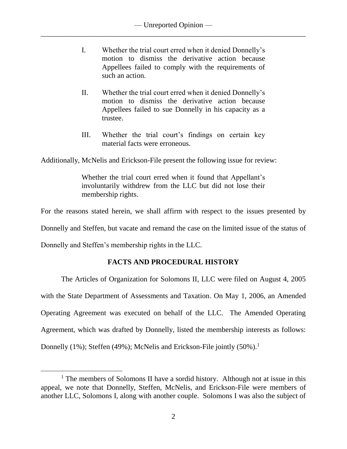- I. Whether the trial court erred when it denied Donnelly's motion to dismiss the derivative action because Appellees failed to comply with the requirements of such an action.
- II. Whether the trial court erred when it denied Donnelly's motion to dismiss the derivative action because Appellees failed to sue Donnelly in his capacity as a trustee.
- III. Whether the trial court's findings on certain key material facts were erroneous.

Additionally, McNelis and Erickson-File present the following issue for review:

Whether the trial court erred when it found that Appellant's involuntarily withdrew from the LLC but did not lose their membership rights.

For the reasons stated herein, we shall affirm with respect to the issues presented by

Donnelly and Steffen, but vacate and remand the case on the limited issue of the status of

Donnelly and Steffen's membership rights in the LLC.

 $\overline{a}$ 

# **FACTS AND PROCEDURAL HISTORY**

The Articles of Organization for Solomons II, LLC were filed on August 4, 2005 with the State Department of Assessments and Taxation. On May 1, 2006, an Amended Operating Agreement was executed on behalf of the LLC. The Amended Operating Agreement, which was drafted by Donnelly, listed the membership interests as follows: Donnelly (1%); Steffen (49%); McNelis and Erickson-File jointly (50%).<sup>1</sup>

<sup>&</sup>lt;sup>1</sup> The members of Solomons II have a sordid history. Although not at issue in this appeal, we note that Donnelly, Steffen, McNelis, and Erickson-File were members of another LLC, Solomons I, along with another couple. Solomons I was also the subject of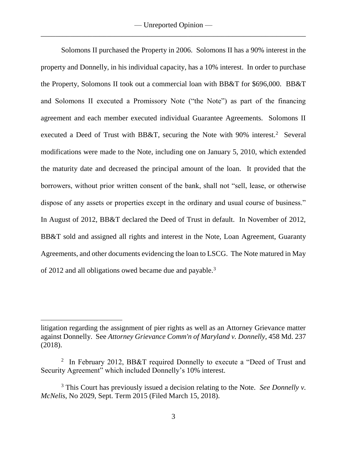Solomons II purchased the Property in 2006. Solomons II has a 90% interest in the property and Donnelly, in his individual capacity, has a 10% interest. In order to purchase the Property, Solomons II took out a commercial loan with BB&T for \$696,000. BB&T and Solomons II executed a Promissory Note ("the Note") as part of the financing agreement and each member executed individual Guarantee Agreements. Solomons II executed a Deed of Trust with BB&T, securing the Note with  $90\%$  interest.<sup>2</sup> Several modifications were made to the Note, including one on January 5, 2010, which extended the maturity date and decreased the principal amount of the loan. It provided that the borrowers, without prior written consent of the bank, shall not "sell, lease, or otherwise dispose of any assets or properties except in the ordinary and usual course of business." In August of 2012, BB&T declared the Deed of Trust in default. In November of 2012, BB&T sold and assigned all rights and interest in the Note, Loan Agreement, Guaranty Agreements, and other documents evidencing the loan to LSCG. The Note matured in May of 2012 and all obligations owed became due and payable.<sup>3</sup>

litigation regarding the assignment of pier rights as well as an Attorney Grievance matter against Donnelly. See *Attorney Grievance Comm'n of Maryland v. Donnelly*, 458 Md. 237 (2018).

<sup>&</sup>lt;sup>2</sup> In February 2012, BB&T required Donnelly to execute a "Deed of Trust and Security Agreement" which included Donnelly's 10% interest.

<sup>3</sup> This Court has previously issued a decision relating to the Note. *See Donnelly v. McNelis*, No 2029, Sept. Term 2015 (Filed March 15, 2018).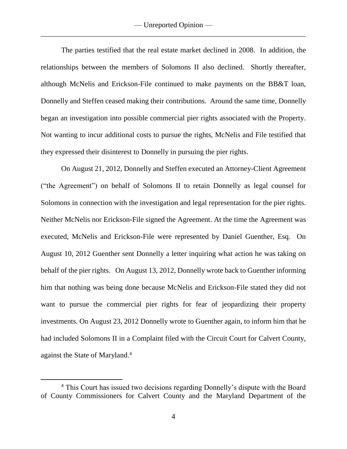The parties testified that the real estate market declined in 2008. In addition, the relationships between the members of Solomons II also declined. Shortly thereafter, although McNelis and Erickson-File continued to make payments on the BB&T loan, Donnelly and Steffen ceased making their contributions. Around the same time, Donnelly began an investigation into possible commercial pier rights associated with the Property. Not wanting to incur additional costs to pursue the rights, McNelis and File testified that they expressed their disinterest to Donnelly in pursuing the pier rights.

On August 21, 2012, Donnelly and Steffen executed an Attorney-Client Agreement ("the Agreement") on behalf of Solomons II to retain Donnelly as legal counsel for Solomons in connection with the investigation and legal representation for the pier rights. Neither McNelis nor Erickson-File signed the Agreement. At the time the Agreement was executed, McNelis and Erickson-File were represented by Daniel Guenther, Esq. On August 10, 2012 Guenther sent Donnelly a letter inquiring what action he was taking on behalf of the pier rights. On August 13, 2012, Donnelly wrote back to Guenther informing him that nothing was being done because McNelis and Erickson-File stated they did not want to pursue the commercial pier rights for fear of jeopardizing their property investments. On August 23, 2012 Donnelly wrote to Guenther again, to inform him that he had included Solomons II in a Complaint filed with the Circuit Court for Calvert County, against the State of Maryland.<sup>4</sup>

<sup>4</sup> This Court has issued two decisions regarding Donnelly's dispute with the Board of County Commissioners for Calvert County and the Maryland Department of the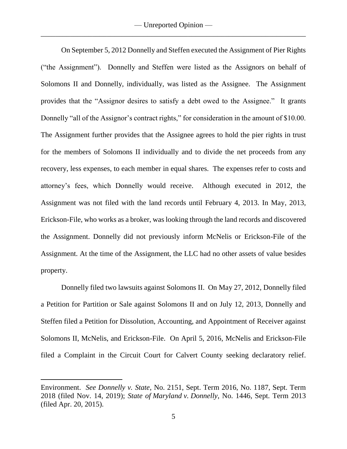On September 5, 2012 Donnelly and Steffen executed the Assignment of Pier Rights ("the Assignment"). Donnelly and Steffen were listed as the Assignors on behalf of Solomons II and Donnelly, individually, was listed as the Assignee. The Assignment provides that the "Assignor desires to satisfy a debt owed to the Assignee." It grants Donnelly "all of the Assignor's contract rights," for consideration in the amount of \$10.00. The Assignment further provides that the Assignee agrees to hold the pier rights in trust for the members of Solomons II individually and to divide the net proceeds from any recovery, less expenses, to each member in equal shares. The expenses refer to costs and attorney's fees, which Donnelly would receive. Although executed in 2012, the Assignment was not filed with the land records until February 4, 2013. In May, 2013, Erickson-File, who works as a broker, was looking through the land records and discovered the Assignment. Donnelly did not previously inform McNelis or Erickson-File of the Assignment. At the time of the Assignment, the LLC had no other assets of value besides property.

Donnelly filed two lawsuits against Solomons II. On May 27, 2012, Donnelly filed a Petition for Partition or Sale against Solomons II and on July 12, 2013, Donnelly and Steffen filed a Petition for Dissolution, Accounting, and Appointment of Receiver against Solomons II, McNelis, and Erickson-File. On April 5, 2016, McNelis and Erickson-File filed a Complaint in the Circuit Court for Calvert County seeking declaratory relief.

Environment. *See Donnelly v. State*, No. 2151, Sept. Term 2016, No. 1187, Sept. Term 2018 (filed Nov. 14, 2019); *State of Maryland v. Donnelly*, No. 1446, Sept. Term 2013 (filed Apr. 20, 2015).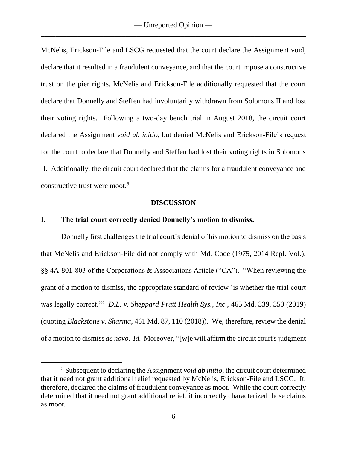McNelis, Erickson-File and LSCG requested that the court declare the Assignment void, declare that it resulted in a fraudulent conveyance, and that the court impose a constructive trust on the pier rights. McNelis and Erickson-File additionally requested that the court declare that Donnelly and Steffen had involuntarily withdrawn from Solomons II and lost their voting rights. Following a two-day bench trial in August 2018, the circuit court declared the Assignment *void ab initio*, but denied McNelis and Erickson-File's request for the court to declare that Donnelly and Steffen had lost their voting rights in Solomons II. Additionally, the circuit court declared that the claims for a fraudulent conveyance and constructive trust were moot.<sup>5</sup>

#### **DISCUSSION**

### **I. The trial court correctly denied Donnelly's motion to dismiss.**

 $\overline{a}$ 

Donnelly first challenges the trial court's denial of his motion to dismiss on the basis that McNelis and Erickson-File did not comply with Md. Code (1975, 2014 Repl. Vol.), §§ 4A-801-803 of the Corporations & Associations Article ("CA"). "When reviewing the grant of a motion to dismiss, the appropriate standard of review 'is whether the trial court was legally correct.'" *D.L. v. Sheppard Pratt Health Sys., Inc.*, 465 Md. 339, 350 (2019) (quoting *Blackstone v. Sharma*, 461 Md. 87, 110 (2018)). We, therefore, review the denial of a motion to dismiss *de novo*. *Id.* Moreover, "[w]e will affirm the circuit court's judgment

<sup>5</sup> Subsequent to declaring the Assignment *void ab initio*, the circuit court determined that it need not grant additional relief requested by McNelis, Erickson-File and LSCG. It, therefore, declared the claims of fraudulent conveyance as moot. While the court correctly determined that it need not grant additional relief, it incorrectly characterized those claims as moot.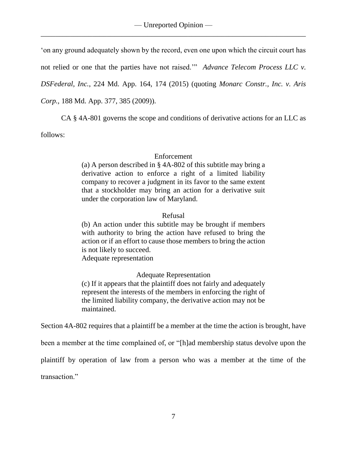'on any ground adequately shown by the record, even one upon which the circuit court has

not relied or one that the parties have not raised.'" *Advance Telecom Process LLC v.*

*DSFederal, Inc.*, 224 Md. App. 164, 174 (2015) (quoting *Monarc Constr., Inc. v. Aris*

*Corp.,* 188 Md. App. 377, 385 (2009)).

CA § 4A-801 governs the scope and conditions of derivative actions for an LLC as

follows:

### Enforcement

(a) A person described in § [4A-802](https://1.next.westlaw.com/Link/Document/FullText?findType=L&pubNum=1000250&cite=MDCRPASSS4A-802&originatingDoc=N02FEC3D0CC5611E18C5DC35294EB93CB&refType=LQ&originationContext=document&transitionType=DocumentItem&contextData=(sc.Category)) of this subtitle may bring a derivative action to enforce a right of a limited liability company to recover a judgment in its favor to the same extent that a stockholder may bring an action for a derivative suit under the corporation law of Maryland.

### Refusal

(b) An action under this subtitle may be brought if members with authority to bring the action have refused to bring the action or if an effort to cause those members to bring the action is not likely to succeed.

Adequate representation

Adequate Representation

(c) If it appears that the plaintiff does not fairly and adequately represent the interests of the members in enforcing the right of the limited liability company, the derivative action may not be maintained.

Section 4A-802 requires that a plaintiff be a member at the time the action is brought, have

been a member at the time complained of, or "[h]ad membership status devolve upon the

plaintiff by operation of law from a person who was a member at the time of the

transaction."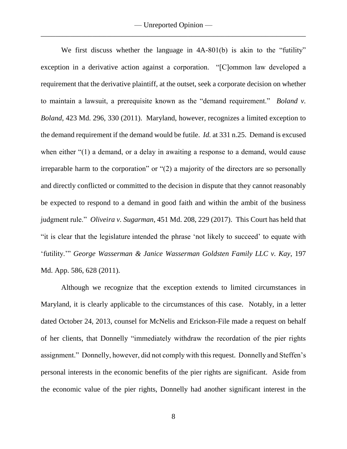We first discuss whether the language in  $4A-801(b)$  is akin to the "futility" exception in a derivative action against a corporation. "[C]ommon law developed a requirement that the derivative plaintiff, at the outset, seek a corporate decision on whether to maintain a lawsuit, a prerequisite known as the "demand requirement." *Boland v. Boland*, 423 Md. 296, 330 (2011). Maryland, however, recognizes a limited exception to the demand requirement if the demand would be futile. *Id.* at 331 n.25. Demand is excused when either "(1) a demand, or a delay in awaiting a response to a demand, would cause irreparable harm to the corporation" or "(2) a majority of the directors are so personally and directly conflicted or committed to the decision in dispute that they cannot reasonably be expected to respond to a demand in good faith and within the ambit of the business judgment rule." *Oliveira v. Sugarman*, 451 Md. 208, 229 (2017). This Court has held that "it is clear that the legislature intended the phrase 'not likely to succeed' to equate with 'futility.'" *George Wasserman & Janice Wasserman Goldsten Family LLC v. Kay*, 197 Md. App. 586, 628 (2011).

Although we recognize that the exception extends to limited circumstances in Maryland, it is clearly applicable to the circumstances of this case. Notably, in a letter dated October 24, 2013, counsel for McNelis and Erickson-File made a request on behalf of her clients, that Donnelly "immediately withdraw the recordation of the pier rights assignment." Donnelly, however, did not comply with this request. Donnelly and Steffen's personal interests in the economic benefits of the pier rights are significant. Aside from the economic value of the pier rights, Donnelly had another significant interest in the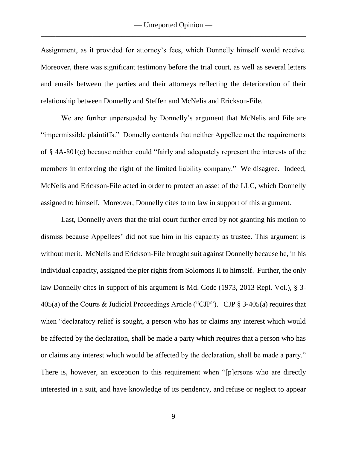Assignment, as it provided for attorney's fees, which Donnelly himself would receive. Moreover, there was significant testimony before the trial court, as well as several letters and emails between the parties and their attorneys reflecting the deterioration of their relationship between Donnelly and Steffen and McNelis and Erickson-File.

We are further unpersuaded by Donnelly's argument that McNelis and File are "impermissible plaintiffs." Donnelly contends that neither Appellee met the requirements of § 4A-801(c) because neither could "fairly and adequately represent the interests of the members in enforcing the right of the limited liability company." We disagree. Indeed, McNelis and Erickson-File acted in order to protect an asset of the LLC, which Donnelly assigned to himself. Moreover, Donnelly cites to no law in support of this argument.

Last, Donnelly avers that the trial court further erred by not granting his motion to dismiss because Appellees' did not sue him in his capacity as trustee. This argument is without merit. McNelis and Erickson-File brought suit against Donnelly because he, in his individual capacity, assigned the pier rights from Solomons II to himself. Further, the only law Donnelly cites in support of his argument is Md. Code (1973, 2013 Repl. Vol.), § 3- 405(a) of the Courts & Judicial Proceedings Article ("CJP"). CJP § 3-405(a) requires that when "declaratory relief is sought, a person who has or claims any interest which would be affected by the declaration, shall be made a party which requires that a person who has or claims any interest which would be affected by the declaration, shall be made a party." There is, however, an exception to this requirement when "[p]ersons who are directly interested in a suit, and have knowledge of its pendency, and refuse or neglect to appear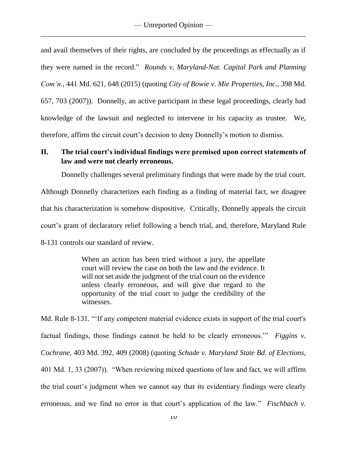and avail themselves of their rights, are concluded by the proceedings as effectually as if they were named in the record." *Rounds v. Maryland-Nat. Capital Park and Planning Com'n.*, 441 Md. 621, 648 (2015) (quoting *City of Bowie v. Mie Properties, Inc.*, 398 Md. 657, 703 (2007)). Donnelly, an active participant in these legal proceedings, clearly had knowledge of the lawsuit and neglected to intervene in his capacity as trustee. We, therefore, affirm the circuit court's decision to deny Donnelly's motion to dismiss.

# **II. The trial court's individual findings were premised upon correct statements of law and were not clearly erroneous.**

Donnelly challenges several preliminary findings that were made by the trial court. Although Donnelly characterizes each finding as a finding of material fact, we disagree

that his characterization is somehow dispositive. Critically, Donnelly appeals the circuit court's grant of declaratory relief following a bench trial, and, therefore, Maryland Rule 8-131 controls our standard of review.

> When an action has been tried without a jury, the appellate court will review the case on both the law and the evidence. It will not set aside the judgment of the trial court on the evidence unless clearly erroneous, and will give due regard to the opportunity of the trial court to judge the credibility of the witnesses.

Md. Rule 8-131. "'If any competent material evidence exists in support of the trial court's factual findings, those findings cannot be held to be clearly erroneous.'" *Figgins v. Cochrane*, 403 Md. 392, 409 (2008) (quoting *Schade v. Maryland State Bd. of Elections*, 401 Md. 1, 33 (2007)). "When reviewing mixed questions of law and fact, we will affirm the trial court's judgment when we cannot say that its evidentiary findings were clearly erroneous, and we find no error in that court's application of the law." *Fischbach v.*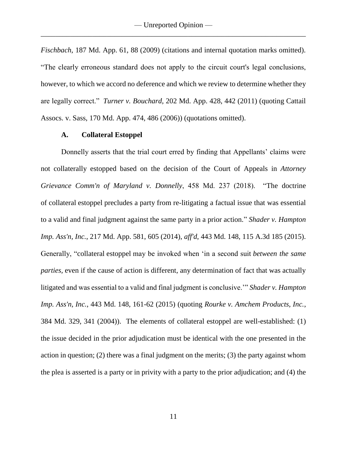*Fischbach*, 187 Md. App. 61, 88 (2009) (citations and internal quotation marks omitted). "The clearly erroneous standard does not apply to the circuit court's legal conclusions, however, to which we accord no deference and which we review to determine whether they are legally correct." *Turner v. Bouchard*, 202 Md. App. 428, 442 (2011) (quoting Cattail Assocs. v. Sass, 170 Md. App. 474, 486 (2006)) (quotations omitted).

#### **A. Collateral Estoppel**

Donnelly asserts that the trial court erred by finding that Appellants' claims were not collaterally estopped based on the decision of the Court of Appeals in *Attorney Grievance Comm'n of Maryland v. Donnelly*, 458 Md. 237 (2018). "The doctrine of collateral estoppel precludes a party from re-litigating a factual issue that was essential to a valid and final judgment against the same party in a prior action." *Shader v. Hampton Imp. Ass'n, Inc.*, 217 Md. App. 581, 605 (2014), *aff'd*, 443 Md. 148, 115 A.3d 185 (2015). Generally, "collateral estoppel may be invoked when 'in a second suit *between the same parties,* even if the cause of action is different, any determination of fact that was actually litigated and was essential to a valid and final judgment is conclusive.'" *Shader v. Hampton Imp. Ass'n, Inc.*, 443 Md. 148, 161-62 (2015) (quoting *Rourke v. Amchem Products, Inc.*, 384 Md. 329, 341 (2004)). The elements of collateral estoppel are well-established: (1) the issue decided in the prior adjudication must be identical with the one presented in the action in question; (2) there was a final judgment on the merits; (3) the party against whom the plea is asserted is a party or in privity with a party to the prior adjudication; and (4) the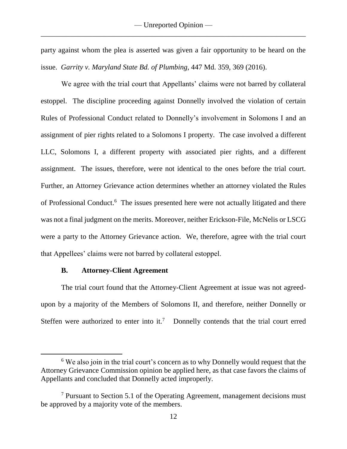party against whom the plea is asserted was given a fair opportunity to be heard on the issue. *Garrity v. Maryland State Bd. of Plumbing*, 447 Md. 359, 369 (2016).

We agree with the trial court that Appellants' claims were not barred by collateral estoppel. The discipline proceeding against Donnelly involved the violation of certain Rules of Professional Conduct related to Donnelly's involvement in Solomons I and an assignment of pier rights related to a Solomons I property. The case involved a different LLC, Solomons I, a different property with associated pier rights, and a different assignment. The issues, therefore, were not identical to the ones before the trial court. Further, an Attorney Grievance action determines whether an attorney violated the Rules of Professional Conduct.<sup>6</sup> The issues presented here were not actually litigated and there was not a final judgment on the merits. Moreover, neither Erickson-File, McNelis or LSCG were a party to the Attorney Grievance action. We, therefore, agree with the trial court that Appellees' claims were not barred by collateral estoppel.

#### **B. Attorney-Client Agreement**

 $\overline{a}$ 

The trial court found that the Attorney-Client Agreement at issue was not agreedupon by a majority of the Members of Solomons II, and therefore, neither Donnelly or Steffen were authorized to enter into it.<sup>7</sup> Donnelly contends that the trial court erred

<sup>&</sup>lt;sup>6</sup> We also join in the trial court's concern as to why Donnelly would request that the Attorney Grievance Commission opinion be applied here, as that case favors the claims of Appellants and concluded that Donnelly acted improperly.

<sup>7</sup> Pursuant to Section 5.1 of the Operating Agreement, management decisions must be approved by a majority vote of the members.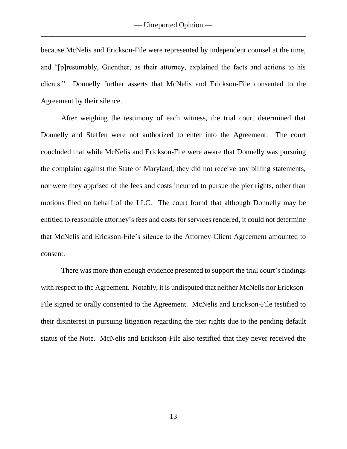because McNelis and Erickson-File were represented by independent counsel at the time, and "[p]resumably, Guenther, as their attorney, explained the facts and actions to his clients." Donnelly further asserts that McNelis and Erickson-File consented to the Agreement by their silence.

After weighing the testimony of each witness, the trial court determined that Donnelly and Steffen were not authorized to enter into the Agreement. The court concluded that while McNelis and Erickson-File were aware that Donnelly was pursuing the complaint against the State of Maryland, they did not receive any billing statements, nor were they apprised of the fees and costs incurred to pursue the pier rights, other than motions filed on behalf of the LLC. The court found that although Donnelly may be entitled to reasonable attorney's fees and costs for services rendered, it could not determine that McNelis and Erickson-File's silence to the Attorney-Client Agreement amounted to consent.

There was more than enough evidence presented to support the trial court's findings with respect to the Agreement. Notably, it is undisputed that neither McNelis nor Erickson-File signed or orally consented to the Agreement. McNelis and Erickson-File testified to their disinterest in pursuing litigation regarding the pier rights due to the pending default status of the Note. McNelis and Erickson-File also testified that they never received the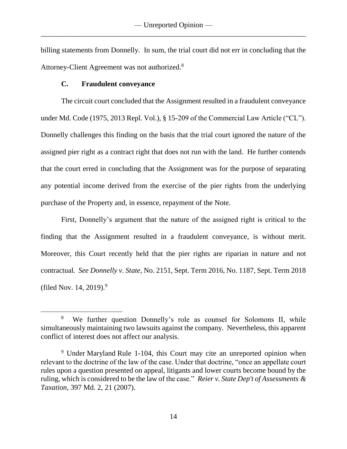billing statements from Donnelly. In sum, the trial court did not err in concluding that the Attorney-Client Agreement was not authorized.<sup>8</sup>

## **C. Fraudulent conveyance**

 $\overline{a}$ 

The circuit court concluded that the Assignment resulted in a fraudulent conveyance under Md. Code (1975, 2013 Repl. Vol.), § 15-209 of the Commercial Law Article ("CL"). Donnelly challenges this finding on the basis that the trial court ignored the nature of the assigned pier right as a contract right that does not run with the land. He further contends that the court erred in concluding that the Assignment was for the purpose of separating any potential income derived from the exercise of the pier rights from the underlying purchase of the Property and, in essence, repayment of the Note.

First, Donnelly's argument that the nature of the assigned right is critical to the finding that the Assignment resulted in a fraudulent conveyance, is without merit. Moreover, this Court recently held that the pier rights are riparian in nature and not contractual. *See Donnelly v. State*, No. 2151, Sept. Term 2016, No. 1187, Sept. Term 2018 (filed Nov. 14, 2019). 9

<sup>8</sup> We further question Donnelly's role as counsel for Solomons II, while simultaneously maintaining two lawsuits against the company. Nevertheless, this apparent conflict of interest does not affect our analysis.

<sup>9</sup> Under Maryland Rule 1-104, this Court may cite an unreported opinion when relevant to the doctrine of the law of the case. Under that doctrine, "once an appellate court rules upon a question presented on appeal, litigants and lower courts become bound by the ruling, which is considered to be the law of the case." *Reier v. State Dep't of [Assessments](https://1.next.westlaw.com/Link/Document/FullText?findType=Y&serNum=2011371460&pubNum=0000536&originatingDoc=Id57fbac007be11ea83e6f815c7cdf150&refType=RP&fi=co_pp_sp_536_21&originationContext=document&transitionType=DocumentItem&contextData=(sc.Search)#co_pp_sp_536_21) & [Taxation](https://1.next.westlaw.com/Link/Document/FullText?findType=Y&serNum=2011371460&pubNum=0000536&originatingDoc=Id57fbac007be11ea83e6f815c7cdf150&refType=RP&fi=co_pp_sp_536_21&originationContext=document&transitionType=DocumentItem&contextData=(sc.Search)#co_pp_sp_536_21)*, 397 Md. 2, 21 (2007).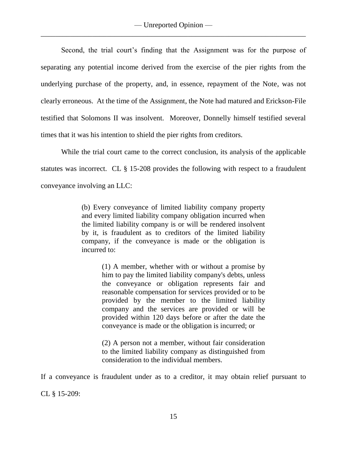Second, the trial court's finding that the Assignment was for the purpose of separating any potential income derived from the exercise of the pier rights from the underlying purchase of the property, and, in essence, repayment of the Note, was not clearly erroneous. At the time of the Assignment, the Note had matured and Erickson-File testified that Solomons II was insolvent. Moreover, Donnelly himself testified several times that it was his intention to shield the pier rights from creditors.

While the trial court came to the correct conclusion, its analysis of the applicable statutes was incorrect. CL § 15-208 provides the following with respect to a fraudulent conveyance involving an LLC:

> (b) Every conveyance of limited liability company property and every limited liability company obligation incurred when the limited liability company is or will be rendered insolvent by it, is fraudulent as to creditors of the limited liability company, if the conveyance is made or the obligation is incurred to:

> > (1) A member, whether with or without a promise by him to pay the limited liability company's debts, unless the conveyance or obligation represents fair and reasonable compensation for services provided or to be provided by the member to the limited liability company and the services are provided or will be provided within 120 days before or after the date the conveyance is made or the obligation is incurred; or

> > (2) A person not a member, without fair consideration to the limited liability company as distinguished from consideration to the individual members.

If a conveyance is fraudulent under as to a creditor, it may obtain relief pursuant to CL § 15-209: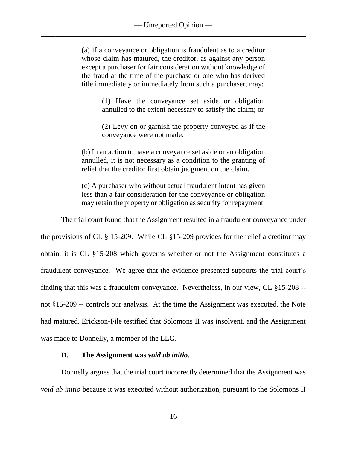(a) If a conveyance or obligation is fraudulent as to a creditor whose claim has matured, the creditor, as against any person except a purchaser for fair consideration without knowledge of the fraud at the time of the purchase or one who has derived title immediately or immediately from such a purchaser, may:

> (1) Have the conveyance set aside or obligation annulled to the extent necessary to satisfy the claim; or

> (2) Levy on or garnish the property conveyed as if the conveyance were not made.

(b) In an action to have a conveyance set aside or an obligation annulled, it is not necessary as a condition to the granting of relief that the creditor first obtain judgment on the claim.

(c) A purchaser who without actual fraudulent intent has given less than a fair consideration for the conveyance or obligation may retain the property or obligation as security for repayment.

The trial court found that the Assignment resulted in a fraudulent conveyance under

the provisions of CL § 15-209. While CL §15-209 provides for the relief a creditor may obtain, it is CL §15-208 which governs whether or not the Assignment constitutes a fraudulent conveyance. We agree that the evidence presented supports the trial court's finding that this was a fraudulent conveyance. Nevertheless, in our view, CL §15-208 - not §15-209 -- controls our analysis. At the time the Assignment was executed, the Note had matured, Erickson-File testified that Solomons II was insolvent, and the Assignment was made to Donnelly, a member of the LLC.

### **D. The Assignment was** *void ab initio***.**

Donnelly argues that the trial court incorrectly determined that the Assignment was *void ab initio* because it was executed without authorization, pursuant to the Solomons II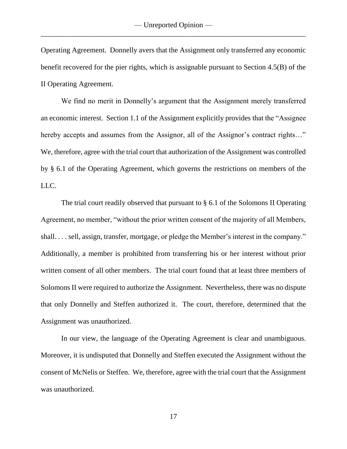Operating Agreement. Donnelly avers that the Assignment only transferred any economic benefit recovered for the pier rights, which is assignable pursuant to Section 4.5(B) of the II Operating Agreement.

We find no merit in Donnelly's argument that the Assignment merely transferred an economic interest. Section 1.1 of the Assignment explicitly provides that the "Assignee hereby accepts and assumes from the Assignor, all of the Assignor's contract rights..." We, therefore, agree with the trial court that authorization of the Assignment was controlled by § 6.1 of the Operating Agreement, which governs the restrictions on members of the LLC.

The trial court readily observed that pursuant to § 6.1 of the Solomons II Operating Agreement, no member, "without the prior written consent of the majority of all Members, shall. . . . sell, assign, transfer, mortgage, or pledge the Member's interest in the company." Additionally, a member is prohibited from transferring his or her interest without prior written consent of all other members. The trial court found that at least three members of Solomons II were required to authorize the Assignment. Nevertheless, there was no dispute that only Donnelly and Steffen authorized it. The court, therefore, determined that the Assignment was unauthorized.

In our view, the language of the Operating Agreement is clear and unambiguous. Moreover, it is undisputed that Donnelly and Steffen executed the Assignment without the consent of McNelis or Steffen. We, therefore, agree with the trial court that the Assignment was unauthorized.

17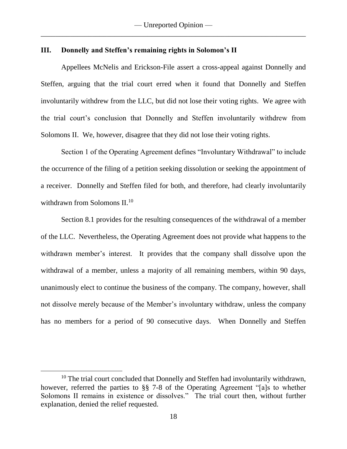#### **III. Donnelly and Steffen's remaining rights in Solomon's II**

Appellees McNelis and Erickson-File assert a cross-appeal against Donnelly and Steffen, arguing that the trial court erred when it found that Donnelly and Steffen involuntarily withdrew from the LLC, but did not lose their voting rights. We agree with the trial court's conclusion that Donnelly and Steffen involuntarily withdrew from Solomons II. We, however, disagree that they did not lose their voting rights.

Section 1 of the Operating Agreement defines "Involuntary Withdrawal" to include the occurrence of the filing of a petition seeking dissolution or seeking the appointment of a receiver. Donnelly and Steffen filed for both, and therefore, had clearly involuntarily withdrawn from Solomons II.<sup>10</sup>

Section 8.1 provides for the resulting consequences of the withdrawal of a member of the LLC. Nevertheless, the Operating Agreement does not provide what happens to the withdrawn member's interest. It provides that the company shall dissolve upon the withdrawal of a member, unless a majority of all remaining members, within 90 days, unanimously elect to continue the business of the company. The company, however, shall not dissolve merely because of the Member's involuntary withdraw, unless the company has no members for a period of 90 consecutive days. When Donnelly and Steffen

<sup>&</sup>lt;sup>10</sup> The trial court concluded that Donnelly and Steffen had involuntarily withdrawn, however, referred the parties to §§ 7-8 of the Operating Agreement "[a]s to whether Solomons II remains in existence or dissolves." The trial court then, without further explanation, denied the relief requested.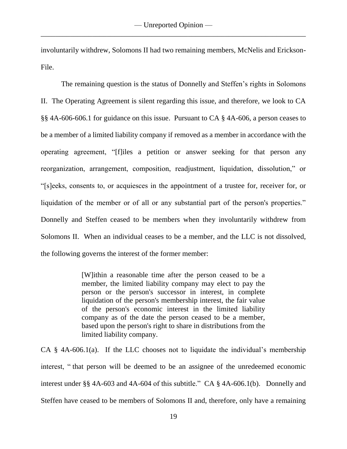involuntarily withdrew, Solomons II had two remaining members, McNelis and Erickson-File.

The remaining question is the status of Donnelly and Steffen's rights in Solomons II. The Operating Agreement is silent regarding this issue, and therefore, we look to CA §§ 4A-606-606.1 for guidance on this issue. Pursuant to CA § 4A-606, a person ceases to be a member of a limited liability company if removed as a member in accordance with the operating agreement, "[f]iles a petition or answer seeking for that person any reorganization, arrangement, composition, readjustment, liquidation, dissolution," or "[s]eeks, consents to, or acquiesces in the appointment of a trustee for, receiver for, or liquidation of the member or of all or any substantial part of the person's properties." Donnelly and Steffen ceased to be members when they involuntarily withdrew from Solomons II. When an individual ceases to be a member, and the LLC is not dissolved, the following governs the interest of the former member:

> [W]ithin a reasonable time after the person ceased to be a member, the limited liability company may elect to pay the person or the person's successor in interest, in complete liquidation of the person's membership interest, the fair value of the person's economic interest in the limited liability company as of the date the person ceased to be a member, based upon the person's right to share in distributions from the limited liability company.

CA  $\S$  4A-606.1(a). If the LLC chooses not to liquidate the individual's membership interest, " that person will be deemed to be an assignee of the unredeemed economic interest under §§ [4A-603](https://1.next.westlaw.com/Link/Document/FullText?findType=L&pubNum=1000250&cite=MDCRPASSS4A-603&originatingDoc=NEA141C80A14811E298A3A20D3F13142B&refType=LQ&originationContext=document&transitionType=DocumentItem&contextData=(sc.Category)) and [4A-604](https://1.next.westlaw.com/Link/Document/FullText?findType=L&pubNum=1000250&cite=MDCRPASSS4A-604&originatingDoc=NEA141C80A14811E298A3A20D3F13142B&refType=LQ&originationContext=document&transitionType=DocumentItem&contextData=(sc.Category)) of this subtitle." CA § 4A-606.1(b). Donnelly and Steffen have ceased to be members of Solomons II and, therefore, only have a remaining